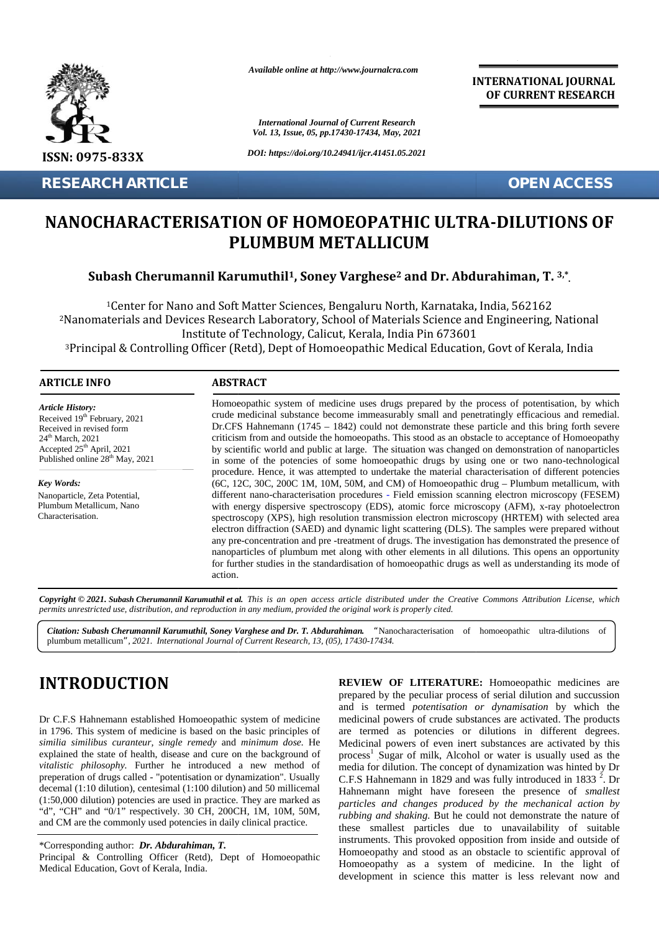

*Available online at http://www.journalcra.com*

**INTERNATIONAL JOURNAL OF CURRENT RESEARCH**

# **NANOCHARACTERISATION OF HOMOEOPATHIC ULTRA-DILUTIONS OF PLUMBUM METALLICUM**

|                                                                                                                                                                                                                                                                                                                                                                                                                                                                                                                                                                                                                                                                                                                                                                                                                                                                                                          | <b>International Journal of Current Research</b><br>Vol. 13, Issue, 05, pp.17430-17434, May, 2021                                                                                                                                                                                                                                                                                                                                                                                                                                                                                                                                                                                                                                                                                                                                                                                                                                                                                                                                                                                                                                                                                                                                                                                                                                                                                                                                                                                                                                                                     |                                                                                                                                                                                                                                                                                                                                                                                                                                                                                                                                                                                                                                                                                                                                                                                                                                                                                                                                                                                                                                       |  |  |
|----------------------------------------------------------------------------------------------------------------------------------------------------------------------------------------------------------------------------------------------------------------------------------------------------------------------------------------------------------------------------------------------------------------------------------------------------------------------------------------------------------------------------------------------------------------------------------------------------------------------------------------------------------------------------------------------------------------------------------------------------------------------------------------------------------------------------------------------------------------------------------------------------------|-----------------------------------------------------------------------------------------------------------------------------------------------------------------------------------------------------------------------------------------------------------------------------------------------------------------------------------------------------------------------------------------------------------------------------------------------------------------------------------------------------------------------------------------------------------------------------------------------------------------------------------------------------------------------------------------------------------------------------------------------------------------------------------------------------------------------------------------------------------------------------------------------------------------------------------------------------------------------------------------------------------------------------------------------------------------------------------------------------------------------------------------------------------------------------------------------------------------------------------------------------------------------------------------------------------------------------------------------------------------------------------------------------------------------------------------------------------------------------------------------------------------------------------------------------------------------|---------------------------------------------------------------------------------------------------------------------------------------------------------------------------------------------------------------------------------------------------------------------------------------------------------------------------------------------------------------------------------------------------------------------------------------------------------------------------------------------------------------------------------------------------------------------------------------------------------------------------------------------------------------------------------------------------------------------------------------------------------------------------------------------------------------------------------------------------------------------------------------------------------------------------------------------------------------------------------------------------------------------------------------|--|--|
| ISSN: 0975-833X                                                                                                                                                                                                                                                                                                                                                                                                                                                                                                                                                                                                                                                                                                                                                                                                                                                                                          | DOI: https://doi.org/10.24941/ijcr.41451.05.2021                                                                                                                                                                                                                                                                                                                                                                                                                                                                                                                                                                                                                                                                                                                                                                                                                                                                                                                                                                                                                                                                                                                                                                                                                                                                                                                                                                                                                                                                                                                      |                                                                                                                                                                                                                                                                                                                                                                                                                                                                                                                                                                                                                                                                                                                                                                                                                                                                                                                                                                                                                                       |  |  |
| <b>RESEARCH ARTICLE</b>                                                                                                                                                                                                                                                                                                                                                                                                                                                                                                                                                                                                                                                                                                                                                                                                                                                                                  |                                                                                                                                                                                                                                                                                                                                                                                                                                                                                                                                                                                                                                                                                                                                                                                                                                                                                                                                                                                                                                                                                                                                                                                                                                                                                                                                                                                                                                                                                                                                                                       | <b>OPEN ACCESS</b>                                                                                                                                                                                                                                                                                                                                                                                                                                                                                                                                                                                                                                                                                                                                                                                                                                                                                                                                                                                                                    |  |  |
|                                                                                                                                                                                                                                                                                                                                                                                                                                                                                                                                                                                                                                                                                                                                                                                                                                                                                                          | <b>PLUMBUM METALLICUM</b>                                                                                                                                                                                                                                                                                                                                                                                                                                                                                                                                                                                                                                                                                                                                                                                                                                                                                                                                                                                                                                                                                                                                                                                                                                                                                                                                                                                                                                                                                                                                             | NANOCHARACTERISATION OF HOMOEOPATHIC ULTRA-DILUTIONS OF<br>Subash Cherumannil Karumuthil <sup>1</sup> , Soney Varghese <sup>2</sup> and Dr. Abdurahiman, T. <sup>3,*</sup> .                                                                                                                                                                                                                                                                                                                                                                                                                                                                                                                                                                                                                                                                                                                                                                                                                                                          |  |  |
|                                                                                                                                                                                                                                                                                                                                                                                                                                                                                                                                                                                                                                                                                                                                                                                                                                                                                                          | Institute of Technology, Calicut, Kerala, India Pin 673601                                                                                                                                                                                                                                                                                                                                                                                                                                                                                                                                                                                                                                                                                                                                                                                                                                                                                                                                                                                                                                                                                                                                                                                                                                                                                                                                                                                                                                                                                                            | <sup>1</sup> Center for Nano and Soft Matter Sciences, Bengaluru North, Karnataka, India, 562162<br><sup>2</sup> Nanomaterials and Devices Research Laboratory, School of Materials Science and Engineering, National<br><sup>3</sup> Principal & Controlling Officer (Retd), Dept of Homoeopathic Medical Education, Govt of Kerala, India                                                                                                                                                                                                                                                                                                                                                                                                                                                                                                                                                                                                                                                                                           |  |  |
| <b>ARTICLE INFO</b>                                                                                                                                                                                                                                                                                                                                                                                                                                                                                                                                                                                                                                                                                                                                                                                                                                                                                      | <b>ABSTRACT</b>                                                                                                                                                                                                                                                                                                                                                                                                                                                                                                                                                                                                                                                                                                                                                                                                                                                                                                                                                                                                                                                                                                                                                                                                                                                                                                                                                                                                                                                                                                                                                       |                                                                                                                                                                                                                                                                                                                                                                                                                                                                                                                                                                                                                                                                                                                                                                                                                                                                                                                                                                                                                                       |  |  |
| Article History:<br>Received 19 <sup>th</sup> February, 2021<br>Received in revised form<br>24 <sup>th</sup> March, 2021<br>Accepted 25 <sup>th</sup> April, 2021<br>Published online 28 <sup>th</sup> May, 2021<br><b>Key Words:</b><br>Nanoparticle, Zeta Potential,<br>Plumbum Metallicum, Nano<br>Characterisation.                                                                                                                                                                                                                                                                                                                                                                                                                                                                                                                                                                                  | Homoeopathic system of medicine uses drugs prepared by the process of potentisation, by which<br>crude medicinal substance become immeasurably small and penetratingly efficacious and remedial.<br>Dr.CFS Hahnemann $(1745 - 1842)$ could not demonstrate these particle and this bring forth severe<br>criticism from and outside the homoeopaths. This stood as an obstacle to acceptance of Homoeopathy<br>by scientific world and public at large. The situation was changed on demonstration of nanoparticles<br>in some of the potencies of some homoeopathic drugs by using one or two nano-technological<br>procedure. Hence, it was attempted to undertake the material characterisation of different potencies<br>(6C, 12C, 30C, 200C 1M, 10M, 50M, and CM) of Homoeopathic drug - Plumbum metallicum, with<br>different nano-characterisation procedures - Field emission scanning electron microscopy (FESEM)<br>with energy dispersive spectroscopy (EDS), atomic force microscopy (AFM), x-ray photoelectron<br>spectroscopy (XPS), high resolution transmission electron microscopy (HRTEM) with selected area<br>electron diffraction (SAED) and dynamic light scattering (DLS). The samples were prepared without<br>any pre-concentration and pre-treatment of drugs. The investigation has demonstrated the presence of<br>nanoparticles of plumbum met along with other elements in all dilutions. This opens an opportunity<br>for further studies in the standardisation of homoeopathic drugs as well as understanding its mode of<br>action. |                                                                                                                                                                                                                                                                                                                                                                                                                                                                                                                                                                                                                                                                                                                                                                                                                                                                                                                                                                                                                                       |  |  |
|                                                                                                                                                                                                                                                                                                                                                                                                                                                                                                                                                                                                                                                                                                                                                                                                                                                                                                          | permits unrestricted use, distribution, and reproduction in any medium, provided the original work is properly cited.<br>Citation: Subash Cherumannil Karumuthil, Soney Varghese and Dr. T. Abdurahiman.<br>plumbum metallicum", 2021. International Journal of Current Research, 13, (05), 17430-17434.                                                                                                                                                                                                                                                                                                                                                                                                                                                                                                                                                                                                                                                                                                                                                                                                                                                                                                                                                                                                                                                                                                                                                                                                                                                              | Copyright © 2021. Subash Cherumannil Karumuthil et al. This is an open access article distributed under the Creative Commons Attribution License, which<br>"Nanocharacterisation of homoeopathic ultra-dilutions of                                                                                                                                                                                                                                                                                                                                                                                                                                                                                                                                                                                                                                                                                                                                                                                                                   |  |  |
| <b>INTRODUCTION</b><br>Dr C.F.S Hahnemann established Homoeopathic system of medicine<br>in 1796. This system of medicine is based on the basic principles of<br>similia similibus curanteur, single remedy and minimum dose. He<br>explained the state of health, disease and cure on the background of<br>vitalistic philosophy. Further he introduced a new method of<br>preperation of drugs called - "potentisation or dynamization". Usually<br>decemal (1:10 dilution), centesimal (1:100 dilution) and 50 millicemal<br>(1:50,000 dilution) potencies are used in practice. They are marked as<br>"d", "CH" and "0/1" respectively. 30 CH, 200CH, 1M, 10M, 50M,<br>and CM are the commonly used potencies in daily clinical practice.<br>*Corresponding author: Dr. Abdurahiman, T.<br>Principal & Controlling Officer (Retd), Dept of Homoeopathic<br>Medical Education, Govt of Kerala, India. |                                                                                                                                                                                                                                                                                                                                                                                                                                                                                                                                                                                                                                                                                                                                                                                                                                                                                                                                                                                                                                                                                                                                                                                                                                                                                                                                                                                                                                                                                                                                                                       | <b>REVIEW OF LITERATURE:</b> Homoeopathic medicines are<br>prepared by the peculiar process of serial dilution and succussion<br>and is termed <i>potentisation or dynamisation</i> by which the<br>medicinal powers of crude substances are activated. The products<br>are termed as potencies or dilutions in different degrees.<br>Medicinal powers of even inert substances are activated by this<br>process <sup>1</sup> Sugar of milk, Alcohol or water is usually used as the<br>media for dilution. The concept of dynamization was hinted by Dr<br>C.F.S Hahnemann in 1829 and was fully introduced in 1833 <sup>2</sup> . Dr<br>Hahnemann might have foreseen the presence of smallest<br>particles and changes produced by the mechanical action by<br>rubbing and shaking. But he could not demonstrate the nature of<br>these smallest particles due to unavailability of suitable<br>instruments. This provoked opposition from inside and outside of<br>Homoeopathy and stood as an obstacle to scientific approval of |  |  |

# **INTRODUCTION INTRODUCTION**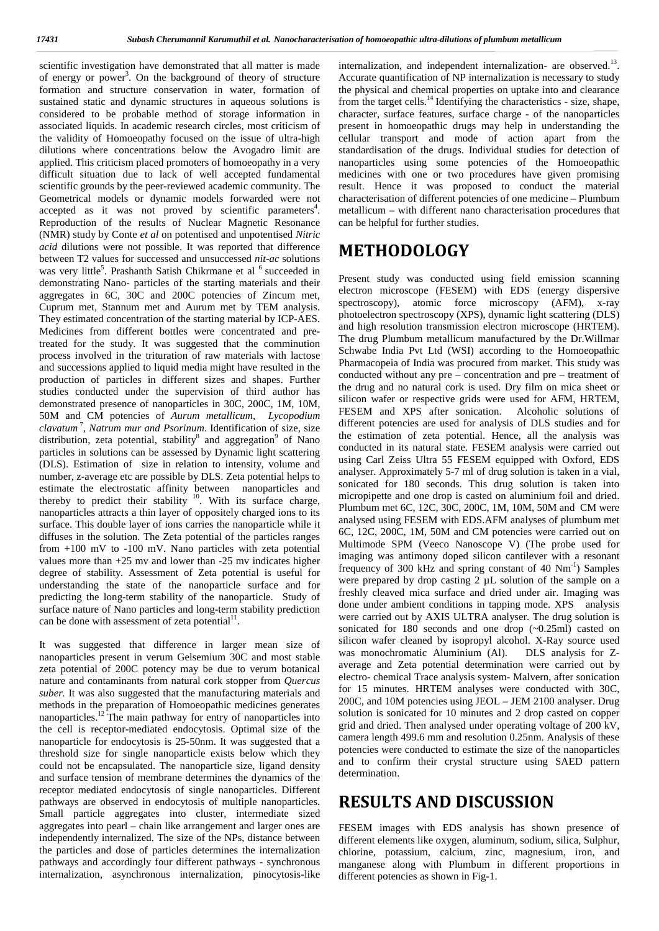scientific investigation have demonstrated that all matter is made of energy or power<sup>3</sup>. On the background of theory of structure Acc formation and structure conservation in water, formation of sustained static and dynamic structures in aqueous solutions is considered to be probable method of storage information in associated liquids. In academic research circles, most criticism of the validity of Homoeopathy focused on the issue of ultra-high dilutions where concentrations below the Avogadro limit are applied. This criticism placed promoters of homoeopathy in a very difficult situation due to lack of well accepted fundamental scientific grounds by the peer-reviewed academic community. The Geometrical models or dynamic models forwarded were not accepted as it was not proved by scientific parameters<sup>4</sup>. r Reproduction of the results of Nuclear Magnetic Resonance (NMR) study by Conte *et al* on potentised and unpotentised *Nitric acid* dilutions were not possible. It was reported that difference between T2 values for successed and unsuccessed *nit-ac* solutions was very little<sup>5</sup>. Prashanth Satish Chikrmane et al <sup>6</sup> succeeded in demonstrating Nano- particles of the starting materials and their aggregates in 6C, 30C and 200C potencies of Zincum met, Cuprum met, Stannum met and Aurum met by TEM analysis. They estimated concentration of the starting material by ICP-AES. Medicines from different bottles were concentrated and pretreated for the study. It was suggested that the comminution process involved in the trituration of raw materials with lactose and successions applied to liquid media might have resulted in the production of particles in different sizes and shapes. Further studies conducted under the supervision of third author has demonstrated presence of nanoparticles in 30C, 200C, 1M, 10M, 50M and CM potencies of *Aurum metallicum, Lycopodium clavatum* <sup>7</sup> *, Natrum mur and Psorinum*. Identification of size, size distribution, zeta potential, stability $\delta$  and aggregation<sup>9</sup> of Nano particles in solutions can be assessed by Dynamic light scattering (DLS). Estimation of size in relation to intensity, volume and number, z-average etc are possible by DLS. Zeta potential helps to estimate the electrostatic affinity between nanoparticles and thereby to predict their stability  $10$ . With its surface charge, nanoparticles attracts a thin layer of oppositely charged ions to its surface. This double layer of ions carries the nanoparticle while it diffuses in the solution. The Zeta potential of the particles ranges from +100 mV to -100 mV. Nano particles with zeta potential values more than +25 mv and lower than -25 mv indicates higher degree of stability. Assessment of Zeta potential is useful for understanding the state of the nanoparticle surface and for predicting the long-term stability of the nanoparticle. Study of surface nature of Nano particles and long-term stability prediction can be done with assessment of zeta potential $11$ .

It was suggested that difference in larger mean size of nanoparticles present in verum Gelsemium 30C and most stable zeta potential of 200C potency may be due to verum botanical nature and contaminants from natural cork stopper from *Quercus suber.* It was also suggested that the manufacturing materials and methods in the preparation of Homoeopathic medicines generates nanoparticles.<sup>12</sup> The main pathway for entry of nanoparticles into the cell is receptor-mediated endocytosis. Optimal size of the nanoparticle for endocytosis is 25-50nm. It was suggested that a threshold size for single nanoparticle exists below which they could not be encapsulated. The nanoparticle size, ligand density and surface tension of membrane determines the dynamics of the receptor mediated endocytosis of single nanoparticles. Different pathways are observed in endocytosis of multiple nanoparticles. Small particle aggregates into cluster, intermediate sized aggregates into pearl – chain like arrangement and larger ones are independently internalized. The size of the NPs, distance between the particles and dose of particles determines the internalization pathways and accordingly four different pathways - synchronous internalization, asynchronous internalization, pinocytosis-like

internalization, and independent internalization- are observed.<sup>13</sup>. Accurate quantification of NP internalization is necessary to study the physical and chemical properties on uptake into and clearance from the target cells.<sup>14</sup> Identifying the characteristics - size, shape, character, surface features, surface charge - of the nanoparticles present in homoeopathic drugs may help in understanding the cellular transport and mode of action apart from the standardisation of the drugs. Individual studies for detection of nanoparticles using some potencies of the Homoeopathic medicines with one or two procedures have given promising result. Hence it was proposed to conduct the material characterisation of different potencies of one medicine – Plumbum metallicum – with different nano characterisation procedures that can be helpful for further studies.

# **METHODOLOGY**

Present study was conducted using field emission scanning electron microscope (FESEM) with EDS (energy dispersive spectroscopy), atomic force microscopy (AFM), x-ray photoelectron spectroscopy (XPS), dynamic light scattering (DLS) and high resolution transmission electron microscope (HRTEM). The drug Plumbum metallicum manufactured by the Dr.Willmar Schwabe India Pvt Ltd (WSI) according to the Homoeopathic Pharmacopeia of India was procured from market. This study was conducted without any pre – concentration and pre – treatment of the drug and no natural cork is used. Dry film on mica sheet or silicon wafer or respective grids were used for AFM, HRTEM, FESEM and XPS after sonication. Alcoholic solutions of different potencies are used for analysis of DLS studies and for the estimation of zeta potential. Hence, all the analysis was conducted in its natural state. FESEM analysis were carried out using Carl Zeiss Ultra 55 FESEM equipped with Oxford, EDS analyser. Approximately 5-7 ml of drug solution is taken in a vial, sonicated for 180 seconds. This drug solution is taken into micropipette and one drop is casted on aluminium foil and dried. Plumbum met 6C, 12C, 30C, 200C, 1M, 10M, 50M and CM were analysed using FESEM with EDS.AFM analyses of plumbum met 6C, 12C, 200C, 1M, 50M and CM potencies were carried out on Multimode SPM (Veeco Nanoscope V) (The probe used for imaging was antimony doped silicon cantilever with a resonant frequency of 300 kHz and spring constant of 40 Nm<sup>-1</sup>) Samples were prepared by drop casting 2  $\mu$ L solution of the sample on a freshly cleaved mica surface and dried under air. Imaging was done under ambient conditions in tapping mode. XPS analysis were carried out by AXIS ULTRA analyser. The drug solution is sonicated for 180 seconds and one drop (~0.25ml) casted on silicon wafer cleaned by isopropyl alcohol. X-Ray source used was monochromatic Aluminium (Al). DLS analysis for Zwas monochromatic Aluminium (Al). average and Zeta potential determination were carried out by electro- chemical Trace analysis system- Malvern, after sonication for 15 minutes. HRTEM analyses were conducted with 30C, 200C, and 10M potencies using JEOL –JEM 2100 analyser. Drug solution is sonicated for 10 minutes and 2 drop casted on copper grid and dried. Then analysed under operating voltage of 200 kV, camera length 499.6 mm and resolution 0.25nm. Analysis of these potencies were conducted to estimate the size of the nanoparticles and to confirm their crystal structure using SAED pattern determination.

## **RESULTS AND DISCUSSION**

FESEM images with EDS analysis has shown presence of different elements like oxygen, aluminum, sodium, silica, Sulphur, chlorine, potassium, calcium, zinc, magnesium, iron, and manganese along with Plumbum in different proportions in different potencies as shown in Fig-1.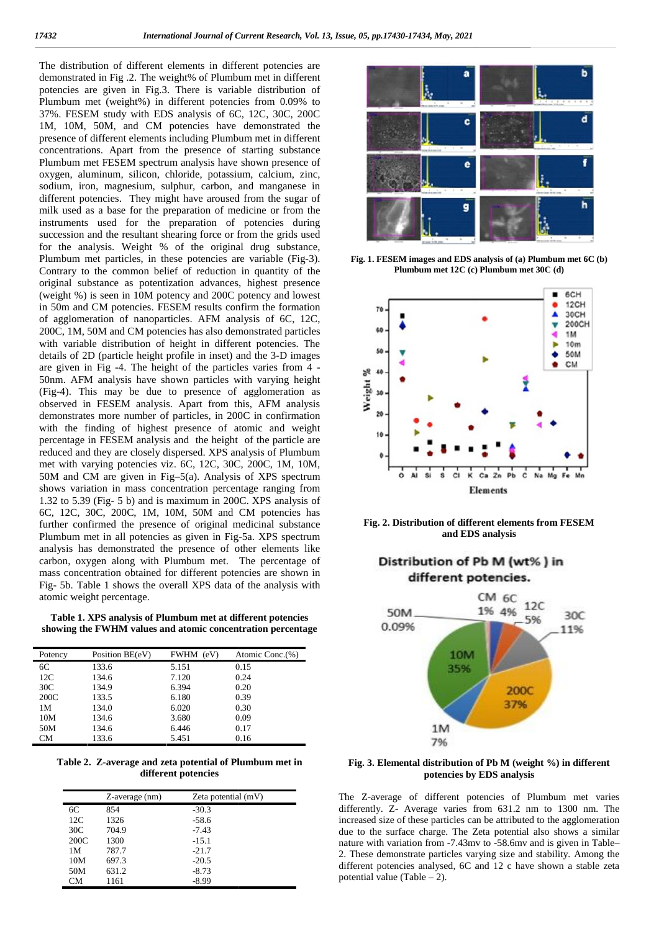The distribution of different elements in different potencies are demonstrated in Fig .2. The weight% of Plumbum met in different potencies are given in Fig.3. There is variable distribution of Plumbum met (weight%) in different potencies from 0.09% to 37%. FESEM study with EDS analysis of 6C, 12C, 30C, 200C 1M, 10M, 50M, and CM potencies have demonstrated the presence of different elements including Plumbum met in different concentrations. Apart from the presence of starting substance Plumbum met FESEM spectrum analysis have shown presence of oxygen, aluminum, silicon, chloride, potassium, calcium, zinc, sodium, iron, magnesium, sulphur, carbon, and manganese in oxygen, aluminum, silicon, chloride, potassium, calcium, zinc,<br>sodium, iron, magnesium, sulphur, carbon, and manganese in<br>different potencies. They might have aroused from the sugar of milk used as a base for the preparation of medicine or from the instruments used for the preparation of potencies during succession and the resultant shearing force or from the grids used for the analysis. Weight % of the original drug substance, Plumbum met particles, in these potencies are variable (Fig-3). Contrary to the common belief of reduction in quantity of the original substance as potentization advances, highest presence (weight %) is seen in 10M potency and 200C potency and lowest in 50m and CM potencies. FESEM results confirm the formation of agglomeration of nanoparticles. AFM analysis of 6C, 12C, 200C, 1M, 50M and CM potencies has also demonstrated particles with variable distribution of height in different potencies. The details of 2D (particle height profile in inset) and the 3-D images are given in Fig -4. The height of the particles varies from 4 - 50nm. AFM analysis have shown particles with varying height (Fig-4). This may be due to presence of agglomeration as observed in FESEM analysis. Apart from this, AFM analysis demonstrates more number of particles, in 200C in confirmation with the finding of highest presence of atomic and weight percentage in FESEM analysis and the height of the particle are reduced and they are closely dispersed. XPS analysis of Plumbum met with varying potencies viz. 6C, 12C, 30C, 200C, 1M, 10M, 50M and CM are given in Fig–5(a). Analysis of XPS spectrum shows variation in mass concentration percentage ranging from 1.32 to 5.39 (Fig- 5 b) and is maximum in 200C. XPS analysis of 6C, 12C, 30C, 200C, 1M, 10M, 50M and CM potencies has further confirmed the presence of original medicinal substance Plumbum met in all potencies as given in Fig-5a. XPS spectrum analysis has demonstrated the presence of other elements like carbon, oxygen along with Plumbum met. The percentage of mass concentration obtained for different potencies are shown in Fig- 5b. Table 1 shows the overall XPS data of the analysis with atomic weight percentage. The distribution of different elements in different potencies are<br>demonstrated in Fig.2. The weight% of Plumbum met in different<br>potencies are given in Fig.3. There is variable distribution of<br>Plumbum met (weight%) in diff milk used as a base for the preparation of medicine or from the<br>instruments used for the preparation of potencies during<br>succession and the resultant shearing force or from the grids used<br>for the analysis. Weight % of the shows variation in mass concentration percentage ranging from 1.32 to 5.39 (Fig-5 b) and is maximum in 200C. XPS analysis of 6C, 12C, 30C, 200C, 1M, 10M, 50M and CM potencies has further confirmed the presence of original m met particles. In these potents are variable (Fig. 3). Fig. 1. Plumbum met BC (c) Framiliam met BC (c) Framiliam met BC (c) Framiliam met BC (c) Framiliam met BC (c) Framiliam met BC (c) Framiliam met BC (c) Framiliam m of different in the show and control of the show and control of the show and control of the show and control of the show and control of the show and control of the show and control of the show and control of the show and

**Table 1. XPS analysis of Plumbum met at different potencies showing the FWHM values and atomic concentration percentage different concentration percentage**

| Potency         | Position BE(eV) | FWHM (eV) | Atomic Conc.(%) |
|-----------------|-----------------|-----------|-----------------|
| 6C              | 133.6           | 5.151     | 0.15            |
| 12C             | 134.6           | 7.120     | 0.24            |
| 30 <sub>C</sub> | 134.9           | 6.394     | 0.20            |
| 200C            | 133.5           | 6.180     | 0.39            |
| 1M              | 134.0           | 6.020     | 0.30            |
| 10M             | 134.6           | 3.680     | 0.09            |
| 50M             | 134.6           | 6.446     | 0.17            |
| <b>CM</b>       | 133.6           | 5.451     | 0.16            |

**Table 2. Z-average and zeta potential of Plumbum met in Table met different potencies**

|                 | Z-average (nm) | Zeta potential (mV) |
|-----------------|----------------|---------------------|
| 6C              | 854            | $-30.3$             |
| 12C             | 1326           | $-58.6$             |
| 30 <sub>C</sub> | 704.9          | $-7.43$             |
| 200C            | 1300           | $-15.1$             |
| 1 M             | 787.7          | $-21.7$             |
| 10M             | 697.3          | $-20.5$             |
| 50M             | 631.2          | $-8.73$             |
| <b>CM</b>       | 1161           | $-8.99$             |



**Fig. 1. FESEM images and EDS analysis of (a) Plumbum met 6C (b) Plumbum met 12C (c) Plumbum met 30C (d)**



**Fig. 2. Distribution of different elements from FESEM and EDS analysis**



**Fig. 3. Elemental distribution of Pb M (weight %) in different potencies by EDS analysis**

The Z-average of different potencies of Plumbum met varies differently. Z- Average varies from 631.2 nm to 1300 nm. The increased size of these particles can be attributed to the agglomeration due to the surface charge. The Zeta potential also shows a similar nature with variation from -7.43mv to -58.6mv and is given in Table– 2. These demonstrate particles varying size and stability. Among the different potencies analysed, 6C and 12 c have shown a stable zeta potential value (Table – 2).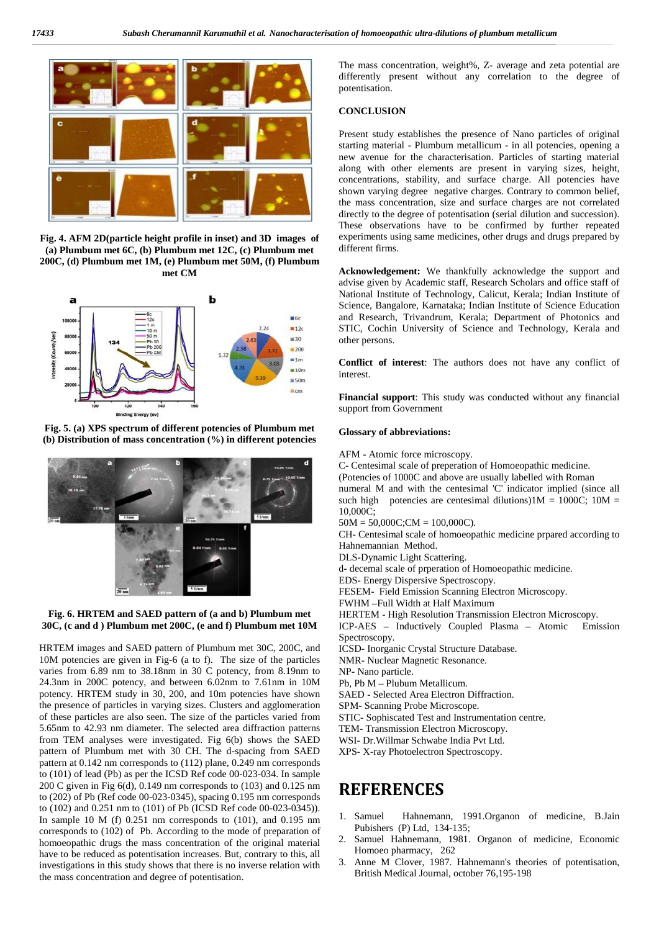

**Fig. 4. AFM 2D(particle height profile in inset) and 3D images of** ig. 4. AFM 2D(particle height profile in inset) and 3D images of (a) Plumbum met 6C, (b) Plumbum met **200C, (d) Plumbum met 1M, (e) Plumbum met 50M, (f) Plumbum met CM**



**Fig. 5. (a) XPS spectrum of different potencies of Plumbum met (b) Distribution of mass concentration (%) in different potencies**



## **Fig. 6. HRTEM and SAED pattern of (a and b) Plumbum met 30C, (c and d ) Plumbum met 200C, (e and f) Plumbum met 10M**

HRTEM images and SAED pattern of Plumbum met 30C, 200C, and HRTEM 10M potencies are given in Fig-6 (a to f). The size of the particles 10M potencies are given in Fig-6 (a to f). The size of the particles NMR-varies from 6.89 nm to 38.18nm in 30 C potency, from 8.19nm to NP-N 24.3nm in 200C potency, and between  $6.02$ nm to  $7.61$ nm in  $10M$  Pb, Pb M – potency. HRTEM study in 30, 200, and 10m potencies have shown potency. HRTEM study in 30, 200, and 10m potencies have shown SAE<br>the presence of particles in varying sizes. Clusters and agglomeration SPM of these particles are also seen. The size of the particles varied from of these particles are also seen. The size of the particles varied from ST<br>5.65nm to 42.93 nm diameter. The selected area diffraction patterns TF from TEM analyses were investigated. Fig 6(b) shows the SAED pattern of Plumbum met with 30 CH. The d-spacing from SAED XPS-Xpattern at 0.142 nm corresponds to (112) plane, 0.249 nm corresponds to (101) of lead (Pb) as per the ICSD Ref code 00-023-034. In sample 200 C given in Fig  $6(d)$ , 0.149 nm corresponds to (103) and 0.125 nm to (202) of Pb (Ref code 00-023-0345), spacing 0.195 nm corresponds to (102) and 0.251 nm to (101) of Pb (ICSD Ref code 00-023-0345)).<br>In sample 10 M (f) 0.251 nm corresponds to (101) and 0.105 nm 1. Samuel In sample 10 M (f) 0.251 nm corresponds to (101), and 0.195 nm  $\frac{1}{2}$ . Samu corresponds to (102) of Pb. According to the mode of preparation of homoeopathic drugs the mass concentration of the original material homoeopathic drugs the mass concentration of the original material thave to be reduced as potentisation increases. But, contrary to this, all investigations in this study shows that there is no inverse relation with the mass concentration and degree of potentisation. from TEM analyses were investigated. Fig 6(b) shows the SAED<br>pattern of Plumbum met with 30 CH. The d-spacing from SAED<br>pattern at 0.142 nm corresponds to (112) plane, 0.249 nm corresponds<br>to (101) of lead (Pb) as per the 200 C given in Fig 6(d), 0.149 nm corresponds to (103) and 0.125 nm<br>to (202) of Pb (Ref code 00-023-0345), spacing 0.195 nm corresponds<br>to (102) and 0.251 nm to (101) of Pb (ICSD Ref code 00-023-0345)).<br>In sample 10 M (f) investigations is relationthedegreemass weight%,presentpresence starting other varying sizes, All charges. common are and by supportgiven Indian ScienceTrivandrum, Cochin Technology,**of interest**:was from(sincesuch are1000C; 10M= Colores and the colores and the cloud of ultra-dilutions metallicum  $\frac{1}{2}$ <br>  $\frac{1}{2}$ <br>  $\frac{1}{2}$ <br>  $\frac{1}{2}$ <br>  $\frac{1}{2}$ <br>  $\frac{1}{2}$ <br>  $\frac{1}{2}$ <br>  $\frac{1}{2}$ <br>  $\frac{1}{2}$ <br>  $\frac{1}{2}$ <br>  $\frac{1}{2}$ <br>  $\frac{1}{2}$ <br>  $\frac{1}{2}$ <br>  $\frac{1}{2}$ <br>

The mass concentration, weight%, Z- average and zeta potential are differently present without any correlation to the degree of potentisation.

### **CONCLUSION**

Present study establishes the presence of Nano particles of original starting material - Plumbum metallicum - in all potencies, opening a new avenue for the characterisation. Particles of starting material along with other elements are present in varying sizes, height, concentrations, stability, and surface charge. All potencies have shown varying degree negative charges. Contrary to common belief, the mass concentration, size and surface charges are not correlated directly to the degree of potentisation (serial dilution and succession). These observations have to be confirmed by further repeated experiments using same medicines, other drugs and drugs prepared by different firms.

**Acknowledgement:** We thankfully acknowledge the support and advise given by Academic staff, Research Scholars and office staff of National Institute of Technology, Calicut, Kerala; Indian Institute of Science, Bangalore, Karnataka; Indian Institute of Science Education and Research, Trivandrum, Kerala; Department of Photonics and STIC, Cochin University of Science and Technology, Kerala and other persons.

**Conflict of interest**: The authors does not have any conflict of interest.

**Financial support**: This study was conducted without any financial support from Government

### **Glossary of abbreviations:**

AFM - Atomic force microscopy.

C- Centesimal scale of preperation of Homoeopathic medicine.

(Potencies of 1000C and above are usually labelled with Roman

numeral M and with the centesimal 'C' indicator implied (since all such high potencies are centesimal dilutions) $1M = 1000C$ ;  $10M =$ 10,000C;

 $50M = 50,000C$ ; $CM = 100,000C$ ).

CH- Centesimal scale of homoeopathic medicine prpared according to Hahnemannian Method. CH- Centesimal scale of homoeopathic medicine prpared accord:<br>Hahnemannian Method.<br>DLS-Dynamic Light Scattering.<br>d- decemal scale of prperation of Homoeopathic medicine.<br>EDS- Energy Dispersive Spectroscopy.<br>FESEM- Field Em

DLS-Dynamic Light Scattering.

d- decemal scale of prperation of Homoeopathic medicine.

EDS- Energy Dispersive Spectroscopy.

FESEM- Field Emission Scanning Electron Microscopy.

FWHM –Full Width at Half Maximum

HERTEM - High Resolution Transmission Electron Microscopy.

ICP-AES – Inductively Coupled Plasma – Atomic Emission Spectroscopy.

ICSD- Inorganic Crystal Structure Database.

NMR- Nuclear Magnetic Resonance.

NP- Nano particle.

Pb, Pb M – Plubum Metallicum.

SAED - Selected Area Electron Diffraction.

SPM- Scanning Probe Microscope.

STIC- Sophiscated Test and Instrumentation centre. SAED - Selected Area Electron Diffraction.<br>SPM- Scanning Probe Microscope.<br>STIC- Sophiscated Test and Instrumentation<br>TEM- Transmission Electron Microscopy.<br>WSI- Dr.Willmar Schwabe India Pvt Ltd.<br>XPS- X-ray Photoelectron S

TEM- Transmission Electron Microscopy.

WSI- Dr.Willmar Schwabe India Pvt Ltd.

XPS- X-ray Photoelectron Spectroscopy.

## **REFERENCES**

- 1. Samuel Hahnemann, 1991.Organon of medicine, B.Jain Pubishers (P) Ltd, 134-135;
- 2. Samuel Hahnemann, 1981. Organon of medicine, Economic Homoeo pharmacy, 262
- 3. Anne M Clover, 1987. Hahnemann's theories of potentisation, British Medical Journal, october 76,195-198